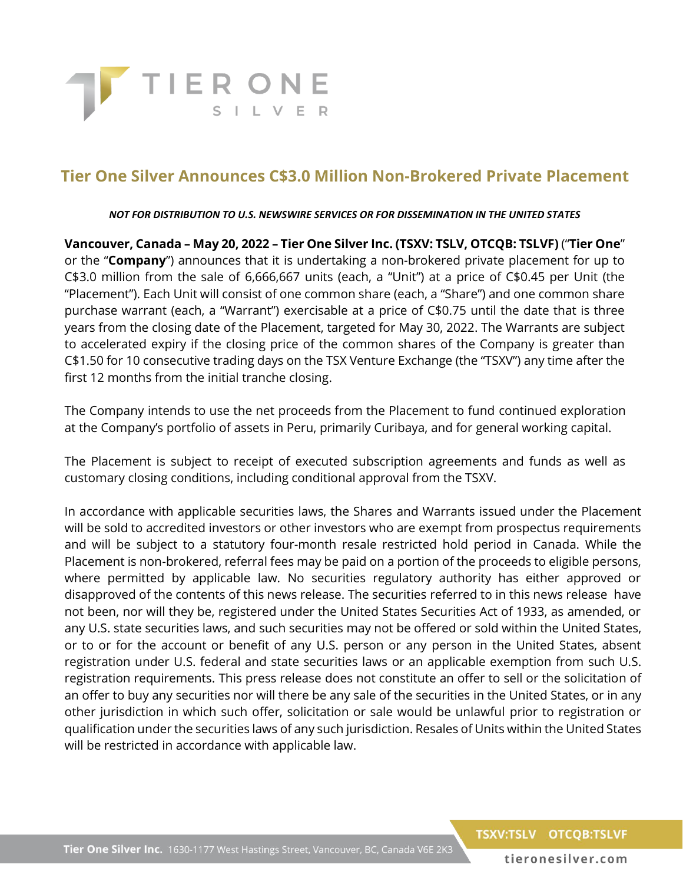

## **Tier One Silver Announces C\$3.0 Million Non-Brokered Private Placement**

*NOT FOR DISTRIBUTION TO U.S. NEWSWIRE SERVICES OR FOR DISSEMINATION IN THE UNITED STATES*

**Vancouver, Canada – May 20, 2022 – Tier One Silver Inc. (TSXV: TSLV, OTCQB: TSLVF)** ("**Tier One**" or the "**Company**") announces that it is undertaking a non-brokered private placement for up to C\$3.0 million from the sale of 6,666,667 units (each, a "Unit") at a price of C\$0.45 per Unit (the "Placement"). Each Unit will consist of one common share (each, a "Share") and one common share purchase warrant (each, a "Warrant") exercisable at a price of C\$0.75 until the date that is three years from the closing date of the Placement, targeted for May 30, 2022. The Warrants are subject to accelerated expiry if the closing price of the common shares of the Company is greater than C\$1.50 for 10 consecutive trading days on the TSX Venture Exchange (the "TSXV") any time after the first 12 months from the initial tranche closing.

The Company intends to use the net proceeds from the Placement to fund continued exploration at the Company's portfolio of assets in Peru, primarily Curibaya, and for general working capital.

The Placement is subject to receipt of executed subscription agreements and funds as well as customary closing conditions, including conditional approval from the TSXV.

In accordance with applicable securities laws, the Shares and Warrants issued under the Placement will be sold to accredited investors or other investors who are exempt from prospectus requirements and will be subject to a statutory four-month resale restricted hold period in Canada. While the Placement is non-brokered, referral fees may be paid on a portion of the proceeds to eligible persons, where permitted by applicable law. No securities regulatory authority has either approved or disapproved of the contents of this news release. The securities referred to in this news release have not been, nor will they be, registered under the United States Securities Act of 1933, as amended, or any U.S. state securities laws, and such securities may not be offered or sold within the United States, or to or for the account or benefit of any U.S. person or any person in the United States, absent registration under U.S. federal and state securities laws or an applicable exemption from such U.S. registration requirements. This press release does not constitute an offer to sell or the solicitation of an offer to buy any securities nor will there be any sale of the securities in the United States, or in any other jurisdiction in which such offer, solicitation or sale would be unlawful prior to registration or qualification under the securities laws of any such jurisdiction. Resales of Units within the United States will be restricted in accordance with applicable law.